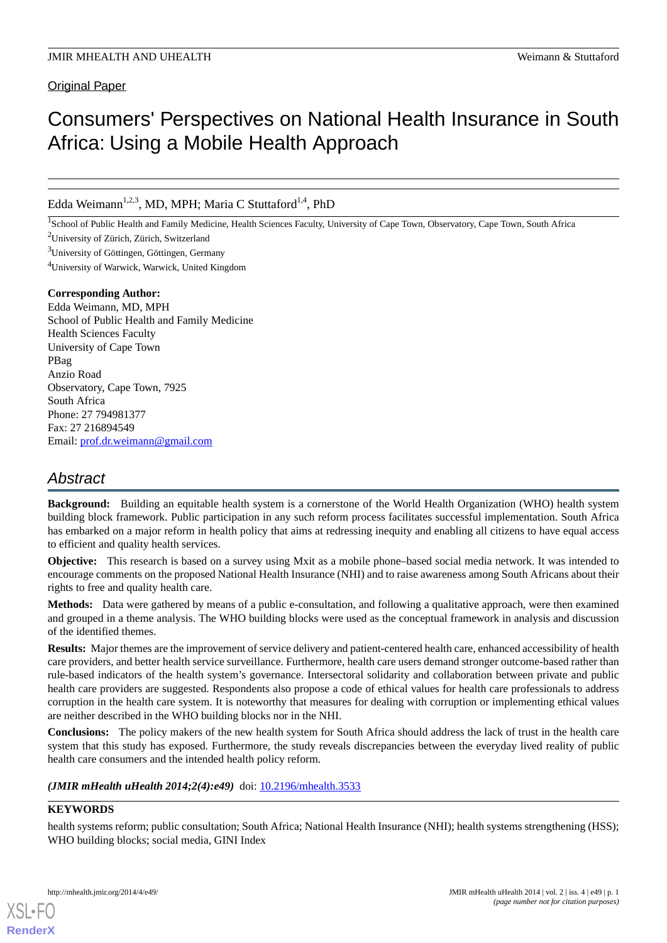### Original Paper

# Consumers' Perspectives on National Health Insurance in South Africa: Using a Mobile Health Approach

Edda Weimann<sup>1,2,3</sup>, MD, MPH; Maria C Stuttaford<sup>1,4</sup>, PhD

<sup>1</sup>School of Public Health and Family Medicine, Health Sciences Faculty, University of Cape Town, Observatory, Cape Town, South Africa

<sup>2</sup>University of Zürich, Zürich, Switzerland

 $3$ University of Göttingen, Göttingen, Germany

<sup>4</sup>University of Warwick, Warwick, United Kingdom

#### **Corresponding Author:**

Edda Weimann, MD, MPH School of Public Health and Family Medicine Health Sciences Faculty University of Cape Town PBag Anzio Road Observatory, Cape Town, 7925 South Africa Phone: 27 794981377 Fax: 27 216894549 Email: [prof.dr.weimann@gmail.com](mailto:prof.dr.weimann@gmail.com)

# *Abstract*

**Background:** Building an equitable health system is a cornerstone of the World Health Organization (WHO) health system building block framework. Public participation in any such reform process facilitates successful implementation. South Africa has embarked on a major reform in health policy that aims at redressing inequity and enabling all citizens to have equal access to efficient and quality health services.

**Objective:** This research is based on a survey using Mxit as a mobile phone–based social media network. It was intended to encourage comments on the proposed National Health Insurance (NHI) and to raise awareness among South Africans about their rights to free and quality health care.

**Methods:** Data were gathered by means of a public e-consultation, and following a qualitative approach, were then examined and grouped in a theme analysis. The WHO building blocks were used as the conceptual framework in analysis and discussion of the identified themes.

**Results:** Major themes are the improvement of service delivery and patient-centered health care, enhanced accessibility of health care providers, and better health service surveillance. Furthermore, health care users demand stronger outcome-based rather than rule-based indicators of the health system's governance. Intersectoral solidarity and collaboration between private and public health care providers are suggested. Respondents also propose a code of ethical values for health care professionals to address corruption in the health care system. It is noteworthy that measures for dealing with corruption or implementing ethical values are neither described in the WHO building blocks nor in the NHI.

**Conclusions:** The policy makers of the new health system for South Africa should address the lack of trust in the health care system that this study has exposed. Furthermore, the study reveals discrepancies between the everyday lived reality of public health care consumers and the intended health policy reform.

*(JMIR mHealth uHealth 2014;2(4):e49)* doi:  $10.2196/m$ health.3533

## **KEYWORDS**

[XSL](http://www.w3.org/Style/XSL)•FO **[RenderX](http://www.renderx.com/)**

health systems reform; public consultation; South Africa; National Health Insurance (NHI); health systems strengthening (HSS); WHO building blocks; social media, GINI Index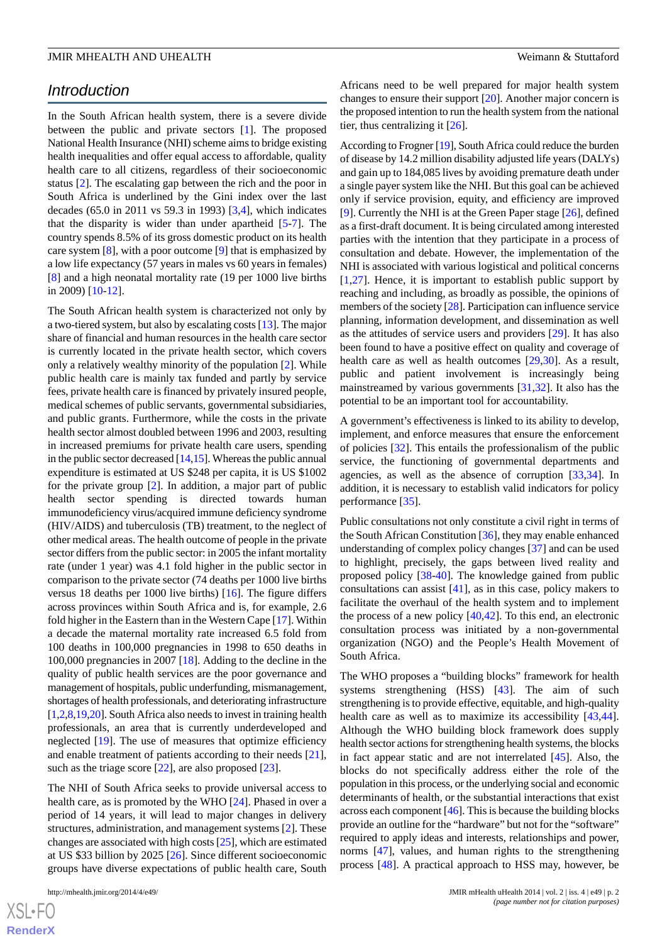### *Introduction*

In the South African health system, there is a severe divide between the public and private sectors [[1\]](#page-9-0). The proposed National Health Insurance (NHI) scheme aims to bridge existing health inequalities and offer equal access to affordable, quality health care to all citizens, regardless of their socioeconomic status [\[2](#page-9-1)]. The escalating gap between the rich and the poor in South Africa is underlined by the Gini index over the last decades (65.0 in 2011 vs 59.3 in 1993) [\[3](#page-9-2),[4\]](#page-9-3), which indicates that the disparity is wider than under apartheid [\[5](#page-10-0)-[7\]](#page-10-1). The country spends 8.5% of its gross domestic product on its health care system [[8\]](#page-10-2), with a poor outcome [\[9](#page-10-3)] that is emphasized by a low life expectancy (57 years in males vs 60 years in females) [[8\]](#page-10-2) and a high neonatal mortality rate (19 per 1000 live births in 2009) [[10](#page-10-4)[-12](#page-10-5)].

The South African health system is characterized not only by a two-tiered system, but also by escalating costs [[13\]](#page-10-6). The major share of financial and human resources in the health care sector is currently located in the private health sector, which covers only a relatively wealthy minority of the population [[2\]](#page-9-1). While public health care is mainly tax funded and partly by service fees, private health care is financed by privately insured people, medical schemes of public servants, governmental subsidiaries, and public grants. Furthermore, while the costs in the private health sector almost doubled between 1996 and 2003, resulting in increased premiums for private health care users, spending in the public sector decreased [\[14](#page-10-7)[,15](#page-10-8)]. Whereas the public annual expenditure is estimated at US \$248 per capita, it is US \$1002 for the private group [[2\]](#page-9-1). In addition, a major part of public health sector spending is directed towards human immunodeficiency virus/acquired immune deficiency syndrome (HIV/AIDS) and tuberculosis (TB) treatment, to the neglect of other medical areas. The health outcome of people in the private sector differs from the public sector: in 2005 the infant mortality rate (under 1 year) was 4.1 fold higher in the public sector in comparison to the private sector (74 deaths per 1000 live births versus 18 deaths per 1000 live births) [[16\]](#page-10-9). The figure differs across provinces within South Africa and is, for example, 2.6 fold higher in the Eastern than in the Western Cape [[17\]](#page-10-10). Within a decade the maternal mortality rate increased 6.5 fold from 100 deaths in 100,000 pregnancies in 1998 to 650 deaths in 100,000 pregnancies in 2007 [\[18](#page-10-11)]. Adding to the decline in the quality of public health services are the poor governance and management of hospitals, public underfunding, mismanagement, shortages of health professionals, and deteriorating infrastructure [[1,](#page-9-0)[2](#page-9-1)[,8](#page-10-2),[19,](#page-10-12)[20\]](#page-10-13). South Africa also needs to invest in training health professionals, an area that is currently underdeveloped and neglected [[19\]](#page-10-12). The use of measures that optimize efficiency and enable treatment of patients according to their needs [[21\]](#page-10-14), such as the triage score  $[22]$  $[22]$ , are also proposed  $[23]$  $[23]$ .

The NHI of South Africa seeks to provide universal access to health care, as is promoted by the WHO [\[24](#page-10-17)]. Phased in over a period of 14 years, it will lead to major changes in delivery structures, administration, and management systems [[2\]](#page-9-1). These changes are associated with high costs [\[25](#page-10-18)], which are estimated at US \$33 billion by 2025 [[26\]](#page-10-19). Since different socioeconomic groups have diverse expectations of public health care, South

Africans need to be well prepared for major health system changes to ensure their support [\[20](#page-10-13)]. Another major concern is the proposed intention to run the health system from the national tier, thus centralizing it  $[26]$  $[26]$ .

According to Frogner [\[19\]](#page-10-12), South Africa could reduce the burden of disease by 14.2 million disability adjusted life years (DALYs) and gain up to 184,085 lives by avoiding premature death under a single payer system like the NHI. But this goal can be achieved only if service provision, equity, and efficiency are improved [[9\]](#page-10-3). Currently the NHI is at the Green Paper stage [[26\]](#page-10-19), defined as a first-draft document. It is being circulated among interested parties with the intention that they participate in a process of consultation and debate. However, the implementation of the NHI is associated with various logistical and political concerns  $[1,27]$  $[1,27]$  $[1,27]$  $[1,27]$ . Hence, it is important to establish public support by reaching and including, as broadly as possible, the opinions of members of the society [[28\]](#page-10-21). Participation can influence service planning, information development, and dissemination as well as the attitudes of service users and providers [[29\]](#page-10-22). It has also been found to have a positive effect on quality and coverage of health care as well as health outcomes [\[29](#page-10-22),[30\]](#page-10-23). As a result, public and patient involvement is increasingly being mainstreamed by various governments [\[31](#page-10-24),[32\]](#page-11-0). It also has the potential to be an important tool for accountability.

A government's effectiveness is linked to its ability to develop, implement, and enforce measures that ensure the enforcement of policies [\[32](#page-11-0)]. This entails the professionalism of the public service, the functioning of governmental departments and agencies, as well as the absence of corruption [\[33](#page-11-1),[34\]](#page-11-2). In addition, it is necessary to establish valid indicators for policy performance [[35\]](#page-11-3).

Public consultations not only constitute a civil right in terms of the South African Constitution [[36\]](#page-11-4), they may enable enhanced understanding of complex policy changes [\[37](#page-11-5)] and can be used to highlight, precisely, the gaps between lived reality and proposed policy [[38-](#page-11-6)[40\]](#page-11-7). The knowledge gained from public consultations can assist [\[41](#page-11-8)], as in this case, policy makers to facilitate the overhaul of the health system and to implement the process of a new policy  $[40, 42]$  $[40, 42]$  $[40, 42]$ . To this end, an electronic consultation process was initiated by a non-governmental organization (NGO) and the People's Health Movement of South Africa.

The WHO proposes a "building blocks" framework for health systems strengthening (HSS) [\[43](#page-11-10)]. The aim of such strengthening is to provide effective, equitable, and high-quality health care as well as to maximize its accessibility [\[43](#page-11-10),[44\]](#page-11-11). Although the WHO building block framework does supply health sector actions for strengthening health systems, the blocks in fact appear static and are not interrelated [\[45](#page-11-12)]. Also, the blocks do not specifically address either the role of the population in this process, or the underlying social and economic determinants of health, or the substantial interactions that exist across each component [[46](#page-11-13)]. This is because the building blocks provide an outline for the "hardware" but not for the "software" required to apply ideas and interests, relationships and power, norms [[47\]](#page-11-14), values, and human rights to the strengthening process [\[48](#page-11-15)]. A practical approach to HSS may, however, be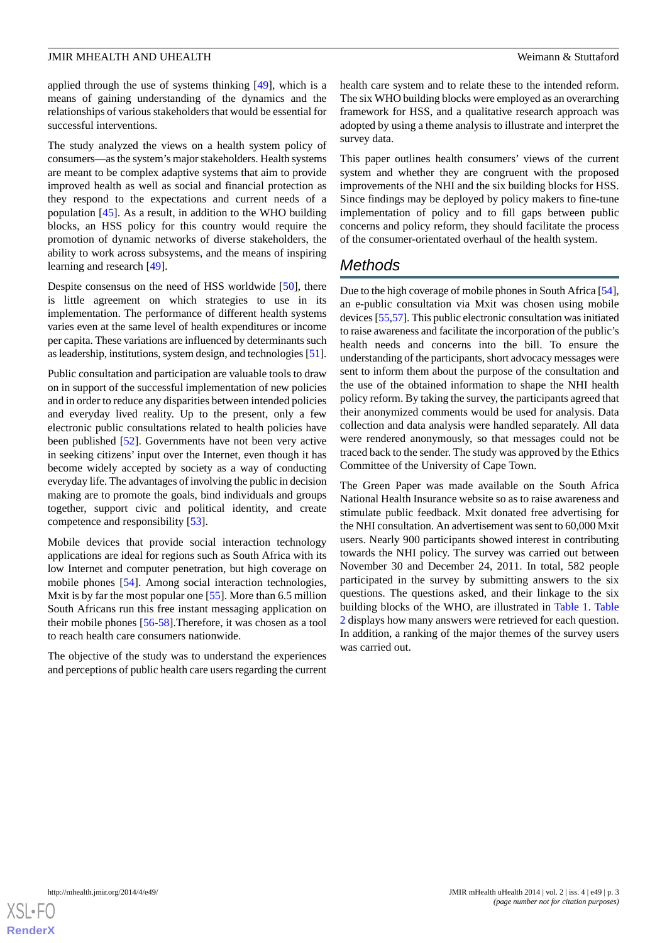applied through the use of systems thinking [[49\]](#page-11-16), which is a means of gaining understanding of the dynamics and the relationships of various stakeholders that would be essential for successful interventions.

The study analyzed the views on a health system policy of consumers—as the system's major stakeholders. Health systems are meant to be complex adaptive systems that aim to provide improved health as well as social and financial protection as they respond to the expectations and current needs of a population [[45\]](#page-11-12). As a result, in addition to the WHO building blocks, an HSS policy for this country would require the promotion of dynamic networks of diverse stakeholders, the ability to work across subsystems, and the means of inspiring learning and research [[49\]](#page-11-16).

Despite consensus on the need of HSS worldwide [[50\]](#page-11-17), there is little agreement on which strategies to use in its implementation. The performance of different health systems varies even at the same level of health expenditures or income per capita. These variations are influenced by determinants such as leadership, institutions, system design, and technologies [\[51\]](#page-11-18).

Public consultation and participation are valuable tools to draw on in support of the successful implementation of new policies and in order to reduce any disparities between intended policies and everyday lived reality. Up to the present, only a few electronic public consultations related to health policies have been published [\[52](#page-11-19)]. Governments have not been very active in seeking citizens' input over the Internet, even though it has become widely accepted by society as a way of conducting everyday life. The advantages of involving the public in decision making are to promote the goals, bind individuals and groups together, support civic and political identity, and create competence and responsibility [\[53](#page-11-20)].

Mobile devices that provide social interaction technology applications are ideal for regions such as South Africa with its low Internet and computer penetration, but high coverage on mobile phones [\[54](#page-11-21)]. Among social interaction technologies, Mxit is by far the most popular one [[55\]](#page-11-22). More than 6.5 million South Africans run this free instant messaging application on their mobile phones [\[56](#page-11-23)[-58](#page-12-0)].Therefore, it was chosen as a tool to reach health care consumers nationwide.

The objective of the study was to understand the experiences and perceptions of public health care users regarding the current health care system and to relate these to the intended reform. The six WHO building blocks were employed as an overarching framework for HSS, and a qualitative research approach was adopted by using a theme analysis to illustrate and interpret the survey data.

This paper outlines health consumers' views of the current system and whether they are congruent with the proposed improvements of the NHI and the six building blocks for HSS. Since findings may be deployed by policy makers to fine-tune implementation of policy and to fill gaps between public concerns and policy reform, they should facilitate the process of the consumer-orientated overhaul of the health system.

# *Methods*

Due to the high coverage of mobile phones in South Africa [\[54\]](#page-11-21), an e-public consultation via Mxit was chosen using mobile devices [\[55](#page-11-22)[,57\]](#page-12-1). This public electronic consultation was initiated to raise awareness and facilitate the incorporation of the public's health needs and concerns into the bill. To ensure the understanding of the participants, short advocacy messages were sent to inform them about the purpose of the consultation and the use of the obtained information to shape the NHI health policy reform. By taking the survey, the participants agreed that their anonymized comments would be used for analysis. Data collection and data analysis were handled separately. All data were rendered anonymously, so that messages could not be traced back to the sender. The study was approved by the Ethics Committee of the University of Cape Town.

The Green Paper was made available on the South Africa National Health Insurance website so as to raise awareness and stimulate public feedback. Mxit donated free advertising for the NHI consultation. An advertisement was sent to 60,000 Mxit users. Nearly 900 participants showed interest in contributing towards the NHI policy. The survey was carried out between November 30 and December 24, 2011. In total, 582 people participated in the survey by submitting answers to the six questions. The questions asked, and their linkage to the six building blocks of the WHO, are illustrated in [Table 1](#page-3-0). [Table](#page-3-1) [2](#page-3-1) displays how many answers were retrieved for each question. In addition, a ranking of the major themes of the survey users was carried out.

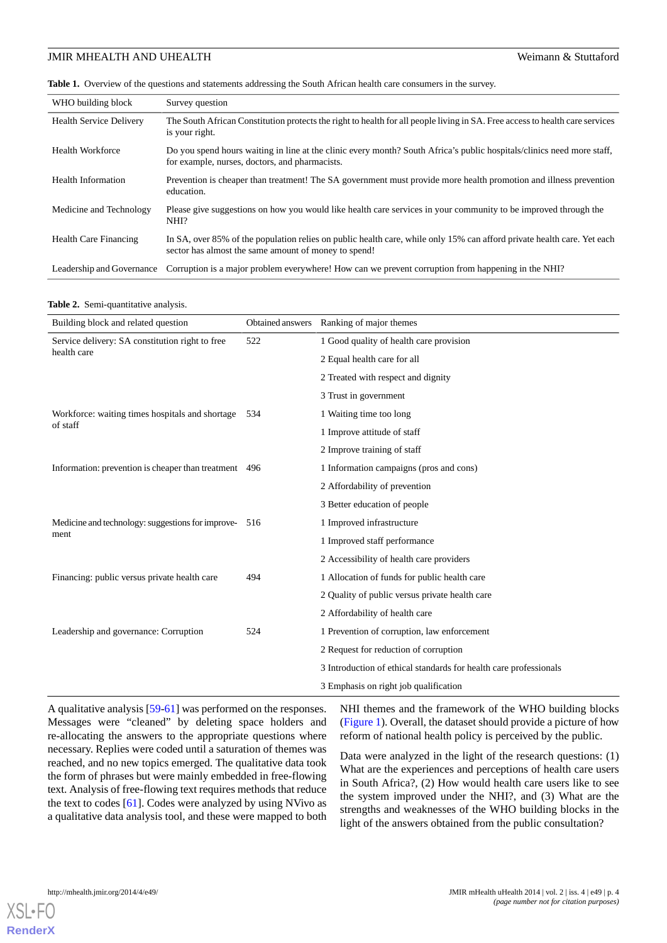<span id="page-3-0"></span>**Table 1.** Overview of the questions and statements addressing the South African health care consumers in the survey.

| WHO building block             | Survey question                                                                                                                                                                 |
|--------------------------------|---------------------------------------------------------------------------------------------------------------------------------------------------------------------------------|
| <b>Health Service Delivery</b> | The South African Constitution protects the right to health for all people living in SA. Free access to health care services<br>is your right.                                  |
| <b>Health Workforce</b>        | Do you spend hours waiting in line at the clinic every month? South Africa's public hospitals/clinics need more staff,<br>for example, nurses, doctors, and pharmacists.        |
| <b>Health Information</b>      | Prevention is cheaper than treatment! The SA government must provide more health promotion and illness prevention<br>education.                                                 |
| Medicine and Technology        | Please give suggestions on how you would like health care services in your community to be improved through the<br>NHI?                                                         |
| Health Care Financing          | In SA, over 85% of the population relies on public health care, while only 15% can afford private health care. Yet each<br>sector has almost the same amount of money to spend! |
| Leadership and Governance      | Corruption is a major problem everywhere! How can we prevent corruption from happening in the NHI?                                                                              |

#### <span id="page-3-1"></span>**Table 2.** Semi-quantitative analysis.

| Building block and related question                   | Obtained answers | Ranking of major themes                                           |
|-------------------------------------------------------|------------------|-------------------------------------------------------------------|
| Service delivery: SA constitution right to free       | 522              | 1 Good quality of health care provision                           |
| health care                                           |                  | 2 Equal health care for all                                       |
|                                                       |                  | 2 Treated with respect and dignity                                |
|                                                       |                  | 3 Trust in government                                             |
| Workforce: waiting times hospitals and shortage 534   |                  | 1 Waiting time too long                                           |
| of staff                                              |                  | 1 Improve attitude of staff                                       |
|                                                       |                  | 2 Improve training of staff                                       |
| Information: prevention is cheaper than treatment 496 |                  | 1 Information campaigns (pros and cons)                           |
|                                                       |                  | 2 Affordability of prevention                                     |
|                                                       |                  | 3 Better education of people                                      |
| Medicine and technology: suggestions for improve- 516 |                  | 1 Improved infrastructure                                         |
| ment                                                  |                  | 1 Improved staff performance                                      |
|                                                       |                  | 2 Accessibility of health care providers                          |
| Financing: public versus private health care          | 494              | 1 Allocation of funds for public health care                      |
|                                                       |                  | 2 Quality of public versus private health care                    |
|                                                       |                  | 2 Affordability of health care                                    |
| Leadership and governance: Corruption                 | 524              | 1 Prevention of corruption, law enforcement                       |
|                                                       |                  | 2 Request for reduction of corruption                             |
|                                                       |                  | 3 Introduction of ethical standards for health care professionals |
|                                                       |                  | 3 Emphasis on right job qualification                             |

A qualitative analysis [[59-](#page-12-2)[61\]](#page-12-3) was performed on the responses. Messages were "cleaned" by deleting space holders and re-allocating the answers to the appropriate questions where necessary. Replies were coded until a saturation of themes was reached, and no new topics emerged. The qualitative data took the form of phrases but were mainly embedded in free-flowing text. Analysis of free-flowing text requires methods that reduce the text to codes [[61\]](#page-12-3). Codes were analyzed by using NVivo as a qualitative data analysis tool, and these were mapped to both

NHI themes and the framework of the WHO building blocks ([Figure 1](#page-4-0)). Overall, the dataset should provide a picture of how reform of national health policy is perceived by the public.

Data were analyzed in the light of the research questions: (1) What are the experiences and perceptions of health care users in South Africa?, (2) How would health care users like to see the system improved under the NHI?, and (3) What are the strengths and weaknesses of the WHO building blocks in the light of the answers obtained from the public consultation?

 $X$ SI • FC **[RenderX](http://www.renderx.com/)**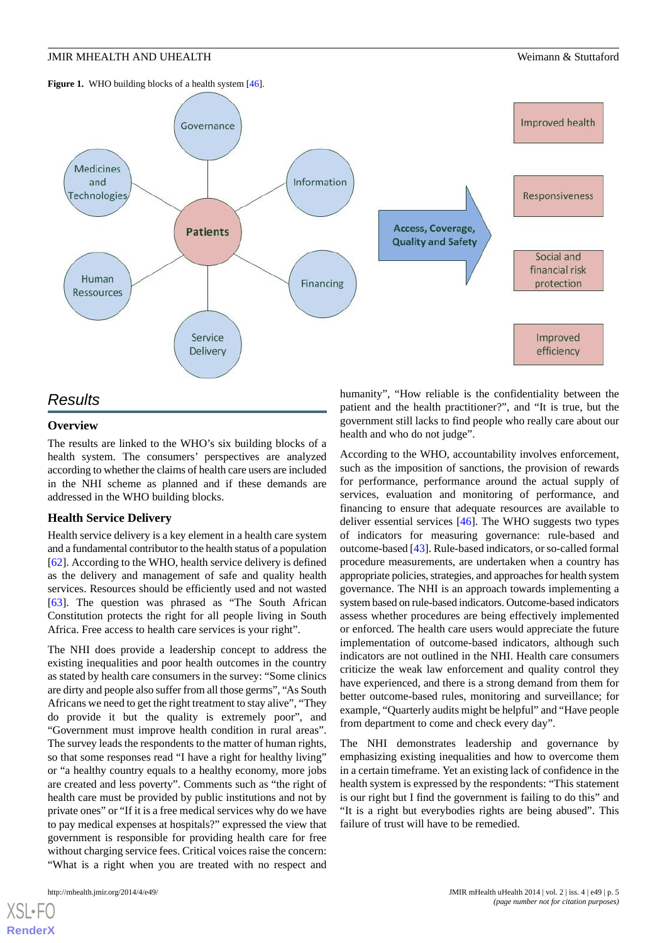<span id="page-4-0"></span>



# *Results* **Overview**

The results are linked to the WHO's six building blocks of a health system. The consumers' perspectives are analyzed according to whether the claims of health care users are included in the NHI scheme as planned and if these demands are addressed in the WHO building blocks.

#### **Health Service Delivery**

Health service delivery is a key element in a health care system and a fundamental contributor to the health status of a population [[62\]](#page-12-4). According to the WHO, health service delivery is defined as the delivery and management of safe and quality health services. Resources should be efficiently used and not wasted [[63\]](#page-12-5). The question was phrased as "The South African Constitution protects the right for all people living in South Africa. Free access to health care services is your right".

The NHI does provide a leadership concept to address the existing inequalities and poor health outcomes in the country as stated by health care consumers in the survey: "Some clinics are dirty and people also suffer from all those germs", "As South Africans we need to get the right treatment to stay alive", "They do provide it but the quality is extremely poor", and "Government must improve health condition in rural areas". The survey leads the respondents to the matter of human rights, so that some responses read "I have a right for healthy living" or "a healthy country equals to a healthy economy, more jobs are created and less poverty". Comments such as "the right of health care must be provided by public institutions and not by private ones" or "If it is a free medical services why do we have to pay medical expenses at hospitals?" expressed the view that government is responsible for providing health care for free without charging service fees. Critical voices raise the concern: "What is a right when you are treated with no respect and

[XSL](http://www.w3.org/Style/XSL)•FO **[RenderX](http://www.renderx.com/)**

humanity", "How reliable is the confidentiality between the patient and the health practitioner?", and "It is true, but the government still lacks to find people who really care about our health and who do not judge".

According to the WHO, accountability involves enforcement, such as the imposition of sanctions, the provision of rewards for performance, performance around the actual supply of services, evaluation and monitoring of performance, and financing to ensure that adequate resources are available to deliver essential services [[46\]](#page-11-13). The WHO suggests two types of indicators for measuring governance: rule-based and outcome-based [\[43](#page-11-10)]. Rule-based indicators, or so-called formal procedure measurements, are undertaken when a country has appropriate policies, strategies, and approaches for health system governance. The NHI is an approach towards implementing a system based on rule-based indicators. Outcome-based indicators assess whether procedures are being effectively implemented or enforced. The health care users would appreciate the future implementation of outcome-based indicators, although such indicators are not outlined in the NHI. Health care consumers criticize the weak law enforcement and quality control they have experienced, and there is a strong demand from them for better outcome-based rules, monitoring and surveillance; for example, "Quarterly audits might be helpful" and "Have people from department to come and check every day".

The NHI demonstrates leadership and governance by emphasizing existing inequalities and how to overcome them in a certain timeframe. Yet an existing lack of confidence in the health system is expressed by the respondents: "This statement is our right but I find the government is failing to do this" and "It is a right but everybodies rights are being abused". This failure of trust will have to be remedied.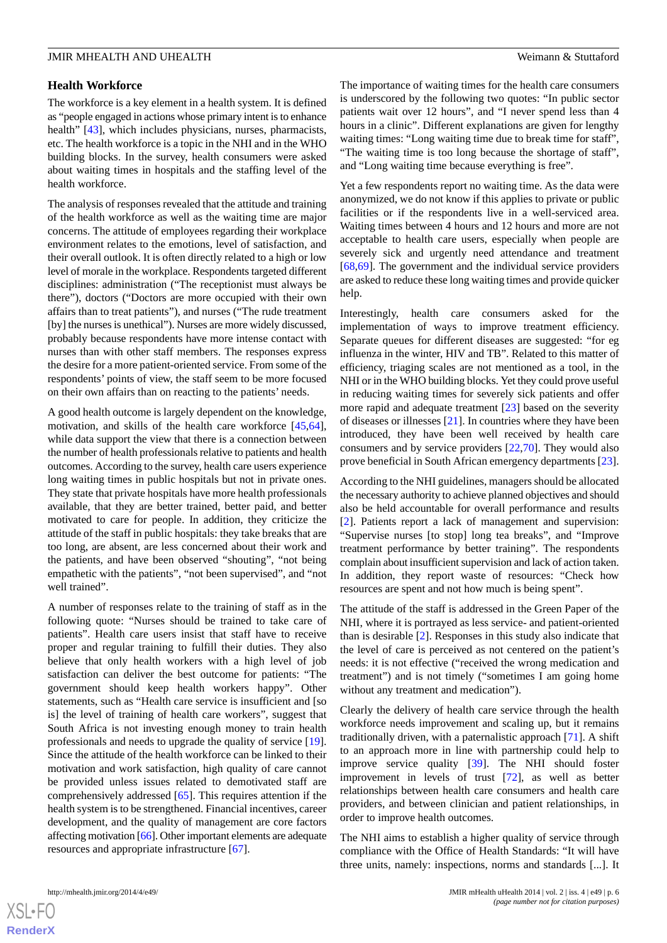#### **Health Workforce**

The workforce is a key element in a health system. It is defined as "people engaged in actions whose primary intent is to enhance health" [\[43](#page-11-10)], which includes physicians, nurses, pharmacists, etc. The health workforce is a topic in the NHI and in the WHO building blocks. In the survey, health consumers were asked about waiting times in hospitals and the staffing level of the health workforce.

The analysis of responses revealed that the attitude and training of the health workforce as well as the waiting time are major concerns. The attitude of employees regarding their workplace environment relates to the emotions, level of satisfaction, and their overall outlook. It is often directly related to a high or low level of morale in the workplace. Respondents targeted different disciplines: administration ("The receptionist must always be there"), doctors ("Doctors are more occupied with their own affairs than to treat patients"), and nurses ("The rude treatment [by] the nurses is unethical"). Nurses are more widely discussed, probably because respondents have more intense contact with nurses than with other staff members. The responses express the desire for a more patient-oriented service. From some of the respondents' points of view, the staff seem to be more focused on their own affairs than on reacting to the patients' needs.

A good health outcome is largely dependent on the knowledge, motivation, and skills of the health care workforce [\[45](#page-11-12),[64\]](#page-12-6), while data support the view that there is a connection between the number of health professionals relative to patients and health outcomes. According to the survey, health care users experience long waiting times in public hospitals but not in private ones. They state that private hospitals have more health professionals available, that they are better trained, better paid, and better motivated to care for people. In addition, they criticize the attitude of the staff in public hospitals: they take breaks that are too long, are absent, are less concerned about their work and the patients, and have been observed "shouting", "not being empathetic with the patients", "not been supervised", and "not well trained".

A number of responses relate to the training of staff as in the following quote: "Nurses should be trained to take care of patients". Health care users insist that staff have to receive proper and regular training to fulfill their duties. They also believe that only health workers with a high level of job satisfaction can deliver the best outcome for patients: "The government should keep health workers happy". Other statements, such as "Health care service is insufficient and [so is] the level of training of health care workers", suggest that South Africa is not investing enough money to train health professionals and needs to upgrade the quality of service [[19\]](#page-10-12). Since the attitude of the health workforce can be linked to their motivation and work satisfaction, high quality of care cannot be provided unless issues related to demotivated staff are comprehensively addressed [[65\]](#page-12-7). This requires attention if the health system is to be strengthened. Financial incentives, career development, and the quality of management are core factors affecting motivation [[66](#page-12-8)]. Other important elements are adequate resources and appropriate infrastructure [[67\]](#page-12-9).

The importance of waiting times for the health care consumers is underscored by the following two quotes: "In public sector patients wait over 12 hours", and "I never spend less than 4 hours in a clinic". Different explanations are given for lengthy waiting times: "Long waiting time due to break time for staff", "The waiting time is too long because the shortage of staff", and "Long waiting time because everything is free".

Yet a few respondents report no waiting time. As the data were anonymized, we do not know if this applies to private or public facilities or if the respondents live in a well-serviced area. Waiting times between 4 hours and 12 hours and more are not acceptable to health care users, especially when people are severely sick and urgently need attendance and treatment [[68,](#page-12-10)[69\]](#page-12-11). The government and the individual service providers are asked to reduce these long waiting times and provide quicker help.

Interestingly, health care consumers asked for the implementation of ways to improve treatment efficiency. Separate queues for different diseases are suggested: "for eg influenza in the winter, HIV and TB". Related to this matter of efficiency, triaging scales are not mentioned as a tool, in the NHI or in the WHO building blocks. Yet they could prove useful in reducing waiting times for severely sick patients and offer more rapid and adequate treatment [\[23](#page-10-16)] based on the severity of diseases or illnesses [\[21](#page-10-14)]. In countries where they have been introduced, they have been well received by health care consumers and by service providers [\[22](#page-10-15),[70\]](#page-12-12). They would also prove beneficial in South African emergency departments [[23\]](#page-10-16).

According to the NHI guidelines, managers should be allocated the necessary authority to achieve planned objectives and should also be held accountable for overall performance and results [[2\]](#page-9-1). Patients report a lack of management and supervision: "Supervise nurses [to stop] long tea breaks", and "Improve treatment performance by better training". The respondents complain about insufficient supervision and lack of action taken. In addition, they report waste of resources: "Check how resources are spent and not how much is being spent".

The attitude of the staff is addressed in the Green Paper of the NHI, where it is portrayed as less service- and patient-oriented than is desirable [[2\]](#page-9-1). Responses in this study also indicate that the level of care is perceived as not centered on the patient's needs: it is not effective ("received the wrong medication and treatment") and is not timely ("sometimes I am going home without any treatment and medication").

Clearly the delivery of health care service through the health workforce needs improvement and scaling up, but it remains traditionally driven, with a paternalistic approach [[71\]](#page-12-13). A shift to an approach more in line with partnership could help to improve service quality [[39\]](#page-11-24). The NHI should foster improvement in levels of trust [\[72](#page-12-14)], as well as better relationships between health care consumers and health care providers, and between clinician and patient relationships, in order to improve health outcomes.

The NHI aims to establish a higher quality of service through compliance with the Office of Health Standards: "It will have three units, namely: inspections, norms and standards [...]. It



 $XS$  $\cdot$ FC **[RenderX](http://www.renderx.com/)**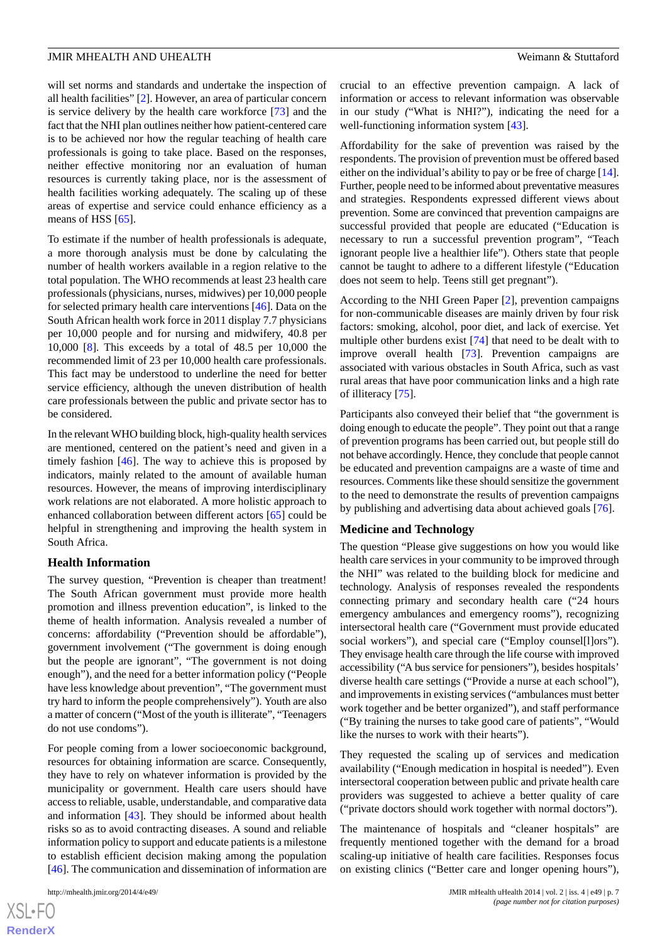will set norms and standards and undertake the inspection of all health facilities" [[2](#page-9-1)]. However, an area of particular concern is service delivery by the health care workforce [[73\]](#page-12-15) and the fact that the NHI plan outlines neither how patient-centered care is to be achieved nor how the regular teaching of health care professionals is going to take place. Based on the responses, neither effective monitoring nor an evaluation of human resources is currently taking place, nor is the assessment of health facilities working adequately. The scaling up of these areas of expertise and service could enhance efficiency as a means of HSS [[65\]](#page-12-7).

To estimate if the number of health professionals is adequate, a more thorough analysis must be done by calculating the number of health workers available in a region relative to the total population. The WHO recommends at least 23 health care professionals (physicians, nurses, midwives) per 10,000 people for selected primary health care interventions [[46\]](#page-11-13). Data on the South African health work force in 2011 display 7.7 physicians per 10,000 people and for nursing and midwifery, 40.8 per 10,000 [[8\]](#page-10-2). This exceeds by a total of 48.5 per 10,000 the recommended limit of 23 per 10,000 health care professionals. This fact may be understood to underline the need for better service efficiency, although the uneven distribution of health care professionals between the public and private sector has to be considered.

In the relevant WHO building block, high-quality health services are mentioned, centered on the patient's need and given in a timely fashion [\[46](#page-11-13)]. The way to achieve this is proposed by indicators, mainly related to the amount of available human resources. However, the means of improving interdisciplinary work relations are not elaborated. A more holistic approach to enhanced collaboration between different actors [\[65](#page-12-7)] could be helpful in strengthening and improving the health system in South Africa.

#### **Health Information**

The survey question, "Prevention is cheaper than treatment! The South African government must provide more health promotion and illness prevention education", is linked to the theme of health information. Analysis revealed a number of concerns: affordability ("Prevention should be affordable"), government involvement ("The government is doing enough but the people are ignorant", "The government is not doing enough"), and the need for a better information policy ("People have less knowledge about prevention", "The government must try hard to inform the people comprehensively"). Youth are also a matter of concern ("Most of the youth is illiterate", "Teenagers do not use condoms").

For people coming from a lower socioeconomic background, resources for obtaining information are scarce. Consequently, they have to rely on whatever information is provided by the municipality or government. Health care users should have access to reliable, usable, understandable, and comparative data and information [[43\]](#page-11-10). They should be informed about health risks so as to avoid contracting diseases. A sound and reliable information policy to support and educate patients is a milestone to establish efficient decision making among the population [[46\]](#page-11-13). The communication and dissemination of information are

crucial to an effective prevention campaign. A lack of information or access to relevant information was observable in our study *(*"What is NHI?"), indicating the need for a well-functioning information system [\[43](#page-11-10)].

Affordability for the sake of prevention was raised by the respondents. The provision of prevention must be offered based either on the individual's ability to pay or be free of charge [\[14](#page-10-7)]. Further, people need to be informed about preventative measures and strategies. Respondents expressed different views about prevention. Some are convinced that prevention campaigns are successful provided that people are educated ("Education is necessary to run a successful prevention program", "Teach ignorant people live a healthier life"). Others state that people cannot be taught to adhere to a different lifestyle ("Education does not seem to help. Teens still get pregnant").

According to the NHI Green Paper [\[2](#page-9-1)], prevention campaigns for non-communicable diseases are mainly driven by four risk factors: smoking, alcohol, poor diet, and lack of exercise. Yet multiple other burdens exist [[74\]](#page-12-16) that need to be dealt with to improve overall health [[73\]](#page-12-15). Prevention campaigns are associated with various obstacles in South Africa, such as vast rural areas that have poor communication links and a high rate of illiteracy [[75\]](#page-12-17).

Participants also conveyed their belief that "the government is doing enough to educate the people". They point out that a range of prevention programs has been carried out, but people still do not behave accordingly. Hence, they conclude that people cannot be educated and prevention campaigns are a waste of time and resources. Comments like these should sensitize the government to the need to demonstrate the results of prevention campaigns by publishing and advertising data about achieved goals [\[76](#page-12-18)].

#### **Medicine and Technology**

The question "Please give suggestions on how you would like health care services in your community to be improved through the NHI" was related to the building block for medicine and technology. Analysis of responses revealed the respondents connecting primary and secondary health care ("24 hours emergency ambulances and emergency rooms"), recognizing intersectoral health care ("Government must provide educated social workers"), and special care ("Employ counsel[l]ors"). They envisage health care through the life course with improved accessibility ("A bus service for pensioners"), besides hospitals' diverse health care settings ("Provide a nurse at each school"), and improvements in existing services ("ambulances must better work together and be better organized"), and staff performance ("By training the nurses to take good care of patients", "Would like the nurses to work with their hearts").

They requested the scaling up of services and medication availability ("Enough medication in hospital is needed"). Even intersectoral cooperation between public and private health care providers was suggested to achieve a better quality of care ("private doctors should work together with normal doctors").

The maintenance of hospitals and "cleaner hospitals" are frequently mentioned together with the demand for a broad scaling-up initiative of health care facilities. Responses focus on existing clinics ("Better care and longer opening hours"),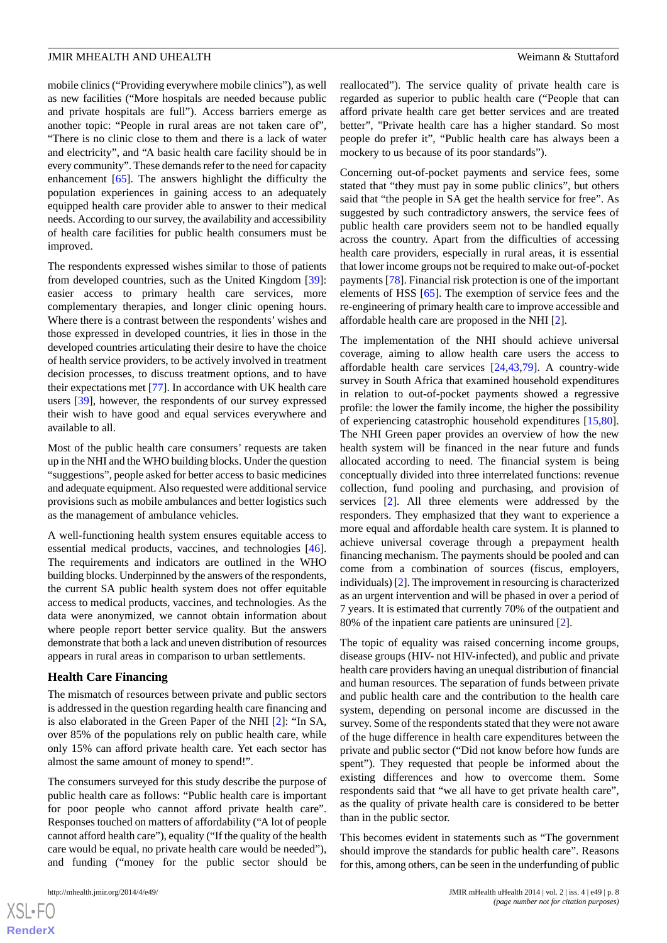mobile clinics ("Providing everywhere mobile clinics"), as well as new facilities ("More hospitals are needed because public and private hospitals are full"). Access barriers emerge as another topic: "People in rural areas are not taken care of", "There is no clinic close to them and there is a lack of water and electricity", and "A basic health care facility should be in every community". These demands refer to the need for capacity enhancement [\[65](#page-12-7)]. The answers highlight the difficulty the population experiences in gaining access to an adequately equipped health care provider able to answer to their medical needs. According to our survey, the availability and accessibility of health care facilities for public health consumers must be improved.

The respondents expressed wishes similar to those of patients from developed countries, such as the United Kingdom [[39\]](#page-11-24): easier access to primary health care services, more complementary therapies, and longer clinic opening hours. Where there is a contrast between the respondents' wishes and those expressed in developed countries, it lies in those in the developed countries articulating their desire to have the choice of health service providers, to be actively involved in treatment decision processes, to discuss treatment options, and to have their expectations met [[77\]](#page-12-19). In accordance with UK health care users [[39\]](#page-11-24), however, the respondents of our survey expressed their wish to have good and equal services everywhere and available to all.

Most of the public health care consumers' requests are taken up in the NHI and the WHO building blocks. Under the question "suggestions", people asked for better access to basic medicines and adequate equipment. Also requested were additional service provisions such as mobile ambulances and better logistics such as the management of ambulance vehicles.

A well-functioning health system ensures equitable access to essential medical products, vaccines, and technologies [[46\]](#page-11-13). The requirements and indicators are outlined in the WHO building blocks. Underpinned by the answers of the respondents, the current SA public health system does not offer equitable access to medical products, vaccines, and technologies. As the data were anonymized, we cannot obtain information about where people report better service quality. But the answers demonstrate that both a lack and uneven distribution of resources appears in rural areas in comparison to urban settlements.

#### **Health Care Financing**

The mismatch of resources between private and public sectors is addressed in the question regarding health care financing and is also elaborated in the Green Paper of the NHI [\[2](#page-9-1)]: "In SA, over 85% of the populations rely on public health care, while only 15% can afford private health care. Yet each sector has almost the same amount of money to spend!".

The consumers surveyed for this study describe the purpose of public health care as follows: "Public health care is important for poor people who cannot afford private health care". Responses touched on matters of affordability ("A lot of people cannot afford health care"), equality ("If the quality of the health care would be equal, no private health care would be needed"), and funding ("money for the public sector should be

reallocated"). The service quality of private health care is regarded as superior to public health care ("People that can afford private health care get better services and are treated better", "Private health care has a higher standard. So most people do prefer it", "Public health care has always been a mockery to us because of its poor standards").

Concerning out-of-pocket payments and service fees*,* some stated that "they must pay in some public clinics", but others said that "the people in SA get the health service for free". As suggested by such contradictory answers, the service fees of public health care providers seem not to be handled equally across the country. Apart from the difficulties of accessing health care providers, especially in rural areas, it is essential that lower income groups not be required to make out-of-pocket payments [\[78](#page-12-20)]. Financial risk protection is one of the important elements of HSS [\[65](#page-12-7)]. The exemption of service fees and the re-engineering of primary health care to improve accessible and affordable health care are proposed in the NHI [[2](#page-9-1)].

The implementation of the NHI should achieve universal coverage, aiming to allow health care users the access to affordable health care services [\[24](#page-10-17),[43](#page-11-10)[,79](#page-12-21)]. A country-wide survey in South Africa that examined household expenditures in relation to out-of-pocket payments showed a regressive profile: the lower the family income, the higher the possibility of experiencing catastrophic household expenditures [\[15](#page-10-8),[80\]](#page-12-22). The NHI Green paper provides an overview of how the new health system will be financed in the near future and funds allocated according to need. The financial system is being conceptually divided into three interrelated functions: revenue collection, fund pooling and purchasing, and provision of services [[2\]](#page-9-1). All three elements were addressed by the responders. They emphasized that they want to experience a more equal and affordable health care system. It is planned to achieve universal coverage through a prepayment health financing mechanism. The payments should be pooled and can come from a combination of sources (fiscus, employers, individuals) [\[2](#page-9-1)]. The improvement in resourcing is characterized as an urgent intervention and will be phased in over a period of 7 years. It is estimated that currently 70% of the outpatient and 80% of the inpatient care patients are uninsured [\[2](#page-9-1)].

The topic of equality was raised concerning income groups, disease groups (HIV- not HIV-infected), and public and private health care providers having an unequal distribution of financial and human resources. The separation of funds between private and public health care and the contribution to the health care system, depending on personal income are discussed in the survey. Some of the respondents stated that they were not aware of the huge difference in health care expenditures between the private and public sector ("Did not know before how funds are spent"). They requested that people be informed about the existing differences and how to overcome them. Some respondents said that "we all have to get private health care", as the quality of private health care is considered to be better than in the public sector.

This becomes evident in statements such as "The government should improve the standards for public health care". Reasons for this, among others, can be seen in the underfunding of public

```
XS-FO
RenderX
```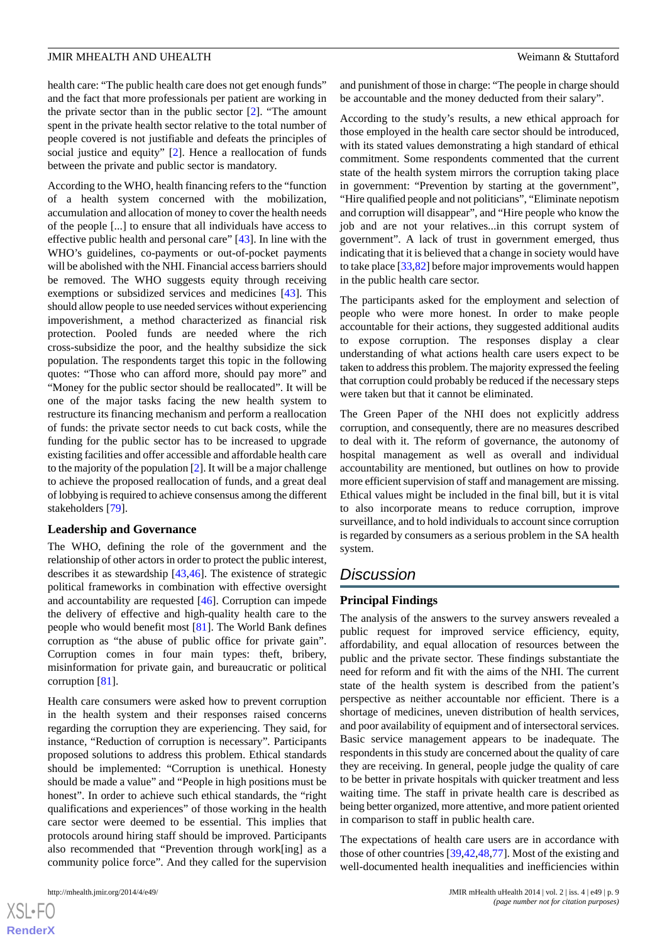health care: "The public health care does not get enough funds" and the fact that more professionals per patient are working in the private sector than in the public sector [[2\]](#page-9-1). "The amount spent in the private health sector relative to the total number of people covered is not justifiable and defeats the principles of social justice and equity" [\[2](#page-9-1)]. Hence a reallocation of funds between the private and public sector is mandatory.

According to the WHO, health financing refers to the "function of a health system concerned with the mobilization, accumulation and allocation of money to cover the health needs of the people [...] to ensure that all individuals have access to effective public health and personal care" [\[43](#page-11-10)]. In line with the WHO's guidelines, co-payments or out-of-pocket payments will be abolished with the NHI. Financial access barriers should be removed. The WHO suggests equity through receiving exemptions or subsidized services and medicines [[43\]](#page-11-10). This should allow people to use needed services without experiencing impoverishment, a method characterized as financial risk protection. Pooled funds are needed where the rich cross-subsidize the poor, and the healthy subsidize the sick population. The respondents target this topic in the following quotes: "Those who can afford more, should pay more" and "Money for the public sector should be reallocated". It will be one of the major tasks facing the new health system to restructure its financing mechanism and perform a reallocation of funds: the private sector needs to cut back costs, while the funding for the public sector has to be increased to upgrade existing facilities and offer accessible and affordable health care to the majority of the population [\[2](#page-9-1)]. It will be a major challenge to achieve the proposed reallocation of funds, and a great deal of lobbying is required to achieve consensus among the different stakeholders [\[79](#page-12-21)].

#### **Leadership and Governance**

The WHO, defining the role of the government and the relationship of other actors in order to protect the public interest, describes it as stewardship [\[43](#page-11-10)[,46](#page-11-13)]. The existence of strategic political frameworks in combination with effective oversight and accountability are requested [[46\]](#page-11-13). Corruption can impede the delivery of effective and high-quality health care to the people who would benefit most [\[81](#page-12-23)]. The World Bank defines corruption as "the abuse of public office for private gain". Corruption comes in four main types: theft, bribery, misinformation for private gain, and bureaucratic or political corruption [\[81](#page-12-23)].

Health care consumers were asked how to prevent corruption in the health system and their responses raised concerns regarding the corruption they are experiencing. They said, for instance, "Reduction of corruption is necessary"*.* Participants proposed solutions to address this problem. Ethical standards should be implemented: "Corruption is unethical. Honesty should be made a value" and "People in high positions must be honest". In order to achieve such ethical standards, the "right qualifications and experiences" of those working in the health care sector were deemed to be essential. This implies that protocols around hiring staff should be improved. Participants also recommended that "Prevention through work[ing] as a community police force". And they called for the supervision

and punishment of those in charge: "The people in charge should be accountable and the money deducted from their salary".

According to the study's results, a new ethical approach for those employed in the health care sector should be introduced, with its stated values demonstrating a high standard of ethical commitment. Some respondents commented that the current state of the health system mirrors the corruption taking place in government: "Prevention by starting at the government", "Hire qualified people and not politicians", "Eliminate nepotism and corruption will disappear", and "Hire people who know the job and are not your relatives...in this corrupt system of government". A lack of trust in government emerged, thus indicating that it is believed that a change in society would have to take place [\[33](#page-11-1)[,82](#page-13-0)] before major improvements would happen in the public health care sector.

The participants asked for the employment and selection of people who were more honest. In order to make people accountable for their actions, they suggested additional audits to expose corruption. The responses display a clear understanding of what actions health care users expect to be taken to address this problem. The majority expressed the feeling that corruption could probably be reduced if the necessary steps were taken but that it cannot be eliminated.

The Green Paper of the NHI does not explicitly address corruption, and consequently, there are no measures described to deal with it. The reform of governance, the autonomy of hospital management as well as overall and individual accountability are mentioned, but outlines on how to provide more efficient supervision of staff and management are missing. Ethical values might be included in the final bill, but it is vital to also incorporate means to reduce corruption, improve surveillance, and to hold individuals to account since corruption is regarded by consumers as a serious problem in the SA health system.

# *Discussion*

#### **Principal Findings**

The analysis of the answers to the survey answers revealed a public request for improved service efficiency, equity, affordability, and equal allocation of resources between the public and the private sector. These findings substantiate the need for reform and fit with the aims of the NHI. The current state of the health system is described from the patient's perspective as neither accountable nor efficient. There is a shortage of medicines, uneven distribution of health services, and poor availability of equipment and of intersectoral services. Basic service management appears to be inadequate. The respondents in this study are concerned about the quality of care they are receiving. In general, people judge the quality of care to be better in private hospitals with quicker treatment and less waiting time. The staff in private health care is described as being better organized, more attentive, and more patient oriented in comparison to staff in public health care.

The expectations of health care users are in accordance with those of other countries [[39](#page-11-24)[,42](#page-11-9),[48](#page-11-15)[,77](#page-12-19)]. Most of the existing and well-documented health inequalities and inefficiencies within

 $XS$  $\cdot$ FC **[RenderX](http://www.renderx.com/)**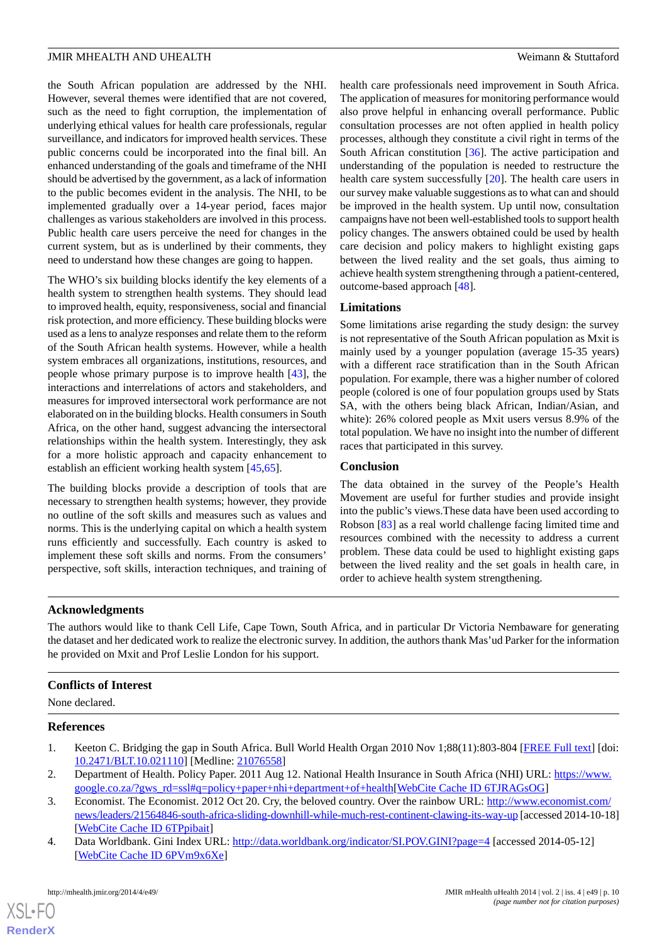the South African population are addressed by the NHI. However, several themes were identified that are not covered, such as the need to fight corruption, the implementation of underlying ethical values for health care professionals, regular surveillance, and indicators for improved health services. These public concerns could be incorporated into the final bill. An enhanced understanding of the goals and timeframe of the NHI should be advertised by the government, as a lack of information to the public becomes evident in the analysis. The NHI, to be implemented gradually over a 14-year period, faces major challenges as various stakeholders are involved in this process. Public health care users perceive the need for changes in the current system, but as is underlined by their comments, they need to understand how these changes are going to happen.

The WHO's six building blocks identify the key elements of a health system to strengthen health systems. They should lead to improved health, equity, responsiveness, social and financial risk protection, and more efficiency. These building blocks were used as a lens to analyze responses and relate them to the reform of the South African health systems. However, while a health system embraces all organizations, institutions, resources, and people whose primary purpose is to improve health [\[43](#page-11-10)], the interactions and interrelations of actors and stakeholders, and measures for improved intersectoral work performance are not elaborated on in the building blocks. Health consumers in South Africa, on the other hand, suggest advancing the intersectoral relationships within the health system. Interestingly, they ask for a more holistic approach and capacity enhancement to establish an efficient working health system [[45,](#page-11-12)[65](#page-12-7)].

The building blocks provide a description of tools that are necessary to strengthen health systems; however, they provide no outline of the soft skills and measures such as values and norms. This is the underlying capital on which a health system runs efficiently and successfully. Each country is asked to implement these soft skills and norms. From the consumers' perspective, soft skills, interaction techniques, and training of health care professionals need improvement in South Africa. The application of measures for monitoring performance would also prove helpful in enhancing overall performance. Public consultation processes are not often applied in health policy processes, although they constitute a civil right in terms of the South African constitution [[36\]](#page-11-4). The active participation and understanding of the population is needed to restructure the health care system successfully [[20\]](#page-10-13). The health care users in our survey make valuable suggestions as to what can and should be improved in the health system. Up until now, consultation campaigns have not been well-established tools to support health policy changes. The answers obtained could be used by health care decision and policy makers to highlight existing gaps between the lived reality and the set goals, thus aiming to achieve health system strengthening through a patient-centered, outcome-based approach [\[48](#page-11-15)].

#### **Limitations**

Some limitations arise regarding the study design: the survey is not representative of the South African population as Mxit is mainly used by a younger population (average 15-35 years) with a different race stratification than in the South African population. For example, there was a higher number of colored people (colored is one of four population groups used by Stats SA, with the others being black African, Indian/Asian, and white): 26% colored people as Mxit users versus 8.9% of the total population. We have no insight into the number of different races that participated in this survey.

#### **Conclusion**

The data obtained in the survey of the People's Health Movement are useful for further studies and provide insight into the public's views.These data have been used according to Robson [\[83](#page-13-1)] as a real world challenge facing limited time and resources combined with the necessity to address a current problem. These data could be used to highlight existing gaps between the lived reality and the set goals in health care, in order to achieve health system strengthening.

#### **Acknowledgments**

The authors would like to thank Cell Life, Cape Town, South Africa, and in particular Dr Victoria Nembaware for generating the dataset and her dedicated work to realize the electronic survey. In addition, the authors thank Mas'ud Parker for the information he provided on Mxit and Prof Leslie London for his support.

#### <span id="page-9-0"></span>**Conflicts of Interest**

<span id="page-9-1"></span>None declared.

#### <span id="page-9-2"></span>**References**

- <span id="page-9-3"></span>1. Keeton C. Bridging the gap in South Africa. Bull World Health Organ 2010 Nov 1;88(11):803-804 [[FREE Full text\]](http://europepmc.org/abstract/MED/21076558) [doi: [10.2471/BLT.10.021110](http://dx.doi.org/10.2471/BLT.10.021110)] [Medline: [21076558\]](http://www.ncbi.nlm.nih.gov/entrez/query.fcgi?cmd=Retrieve&db=PubMed&list_uids=21076558&dopt=Abstract)
- 2. Department of Health. Policy Paper. 2011 Aug 12. National Health Insurance in South Africa (NHI) URL: [https://www.](https://www.google.co.za/?gws_rd=ssl#q=policy+paper+nhi+department+of+health) [google.co.za/?gws\\_rd=ssl#q=policy+paper+nhi+department+of+health](https://www.google.co.za/?gws_rd=ssl#q=policy+paper+nhi+department+of+health)[[WebCite Cache ID 6TJRAGsOG](http://www.webcitation.org/

                                                6TJRAGsOG)]
- 3. Economist. The Economist. 2012 Oct 20. Cry, the beloved country. Over the rainbow URL: [http://www.economist.com/](http://www.economist.com/news/leaders/21564846-south-africa-sliding-downhill-while-much-rest-continent-clawing-its-way-up) [news/leaders/21564846-south-africa-sliding-downhill-while-much-rest-continent-clawing-its-way-up](http://www.economist.com/news/leaders/21564846-south-africa-sliding-downhill-while-much-rest-continent-clawing-its-way-up) [accessed 2014-10-18] [[WebCite Cache ID 6TPpibait](http://www.webcitation.org/

                                                6TPpibait)]
- 4. Data Worldbank. Gini Index URL: <http://data.worldbank.org/indicator/SI.POV.GINI?page=4> [accessed 2014-05-12] [[WebCite Cache ID 6PVm9x6Xe\]](http://www.webcitation.org/

                                                6PVm9x6Xe)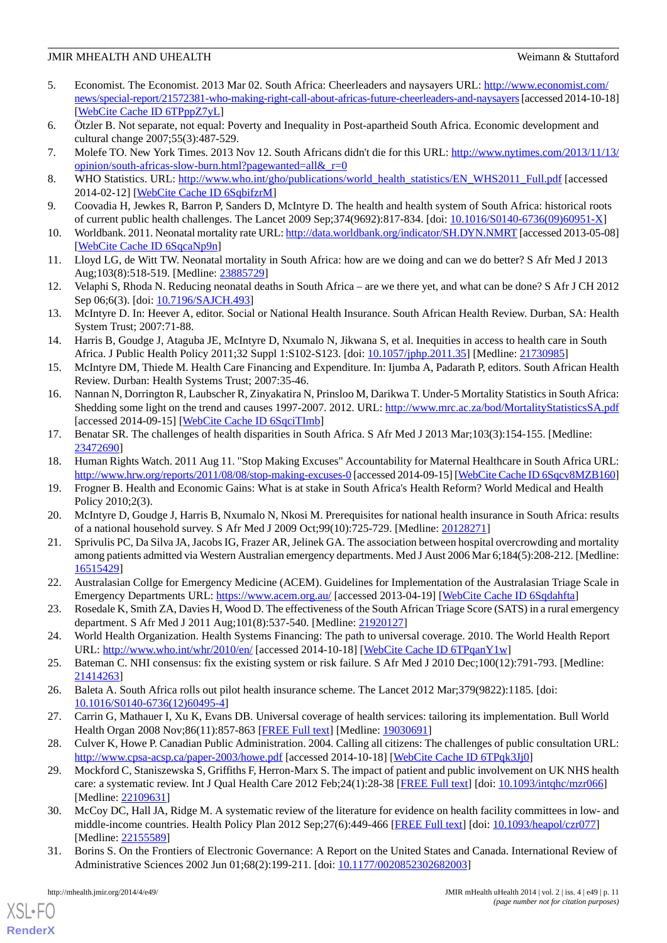- <span id="page-10-0"></span>5. Economist. The Economist. 2013 Mar 02. South Africa: Cheerleaders and naysayers URL: [http://www.economist.com/](http://www.economist.com/news/special-report/21572381-who-making-right-call-about-africas-future-cheerleaders-and-naysayers) [news/special-report/21572381-who-making-right-call-about-africas-future-cheerleaders-and-naysayers](http://www.economist.com/news/special-report/21572381-who-making-right-call-about-africas-future-cheerleaders-and-naysayers)[accessed 2014-10-18] [[WebCite Cache ID 6TPppZ7yL](http://www.webcitation.org/

                                                6TPppZ7yL)]
- <span id="page-10-1"></span>6. Ötzler B. Not separate, not equal: Poverty and Inequality in Post-apartheid South Africa. Economic development and cultural change 2007;55(3):487-529.
- <span id="page-10-2"></span>7. Molefe TO. New York Times. 2013 Nov 12. South Africans didn't die for this URL: [http://www.nytimes.com/2013/11/13/](http://www.nytimes.com/2013/11/13/opinion/south-africas-slow-burn.html?pagewanted=all&_r=0) opinion/south-africas-slow-burn.html?pagewanted=all& $r=0$
- <span id="page-10-3"></span>8. WHO Statistics. URL: [http://www.who.int/gho/publications/world\\_health\\_statistics/EN\\_WHS2011\\_Full.pdf](http://www.who.int/gho/publications/world_health_statistics/EN_WHS2011_Full.pdf) [accessed 2014-02-12] [\[WebCite Cache ID 6SqbifzrM\]](http://www.webcitation.org/

                                                6SqbifzrM)
- <span id="page-10-4"></span>9. Coovadia H, Jewkes R, Barron P, Sanders D, McIntyre D. The health and health system of South Africa: historical roots of current public health challenges. The Lancet 2009 Sep;374(9692):817-834. [doi: [10.1016/S0140-6736\(09\)60951-X](http://dx.doi.org/10.1016/S0140-6736(09)60951-X)]
- 10. Worldbank. 2011. Neonatal mortality rate URL:<http://data.worldbank.org/indicator/SH.DYN.NMRT> [accessed 2013-05-08] [[WebCite Cache ID 6SqcaNp9n](http://www.webcitation.org/

                                                6SqcaNp9n)]
- <span id="page-10-5"></span>11. Lloyd LG, de Witt TW. Neonatal mortality in South Africa: how are we doing and can we do better? S Afr Med J 2013 Aug;103(8):518-519. [Medline: [23885729](http://www.ncbi.nlm.nih.gov/entrez/query.fcgi?cmd=Retrieve&db=PubMed&list_uids=23885729&dopt=Abstract)]
- <span id="page-10-6"></span>12. Velaphi S, Rhoda N. Reducing neonatal deaths in South Africa – are we there yet, and what can be done? S Afr J CH 2012 Sep 06;6(3). [doi: [10.7196/SAJCH.493](http://dx.doi.org/10.7196/SAJCH.493)]
- <span id="page-10-7"></span>13. McIntyre D. In: Heever A, editor. Social or National Health Insurance. South African Health Review. Durban, SA: Health System Trust; 2007:71-88.
- <span id="page-10-8"></span>14. Harris B, Goudge J, Ataguba JE, McIntyre D, Nxumalo N, Jikwana S, et al. Inequities in access to health care in South Africa. J Public Health Policy 2011;32 Suppl 1:S102-S123. [doi: [10.1057/jphp.2011.35](http://dx.doi.org/10.1057/jphp.2011.35)] [Medline: [21730985](http://www.ncbi.nlm.nih.gov/entrez/query.fcgi?cmd=Retrieve&db=PubMed&list_uids=21730985&dopt=Abstract)]
- <span id="page-10-9"></span>15. McIntyre DM, Thiede M. Health Care Financing and Expenditure. In: Ijumba A, Padarath P, editors. South African Health Review. Durban: Health Systems Trust; 2007:35-46.
- <span id="page-10-10"></span>16. Nannan N, Dorrington R, Laubscher R, Zinyakatira N, Prinsloo M, Darikwa T. Under-5 Mortality Statistics in South Africa: Shedding some light on the trend and causes 1997-2007. 2012. URL:<http://www.mrc.ac.za/bod/MortalityStatisticsSA.pdf> [accessed 2014-09-15] [\[WebCite Cache ID 6SqciTImb\]](http://www.webcitation.org/

                                                6SqciTImb)
- <span id="page-10-12"></span><span id="page-10-11"></span>17. Benatar SR. The challenges of health disparities in South Africa. S Afr Med J 2013 Mar;103(3):154-155. [Medline: [23472690](http://www.ncbi.nlm.nih.gov/entrez/query.fcgi?cmd=Retrieve&db=PubMed&list_uids=23472690&dopt=Abstract)]
- <span id="page-10-13"></span>18. Human Rights Watch. 2011 Aug 11. "Stop Making Excuses" Accountability for Maternal Healthcare in South Africa URL: <http://www.hrw.org/reports/2011/08/08/stop-making-excuses-0> [accessed 2014-09-15] [\[WebCite Cache ID 6Sqcv8MZB160\]](http://www.webcitation.org/

                                                6Sqcv8MZB160)
- <span id="page-10-14"></span>19. Frogner B. Health and Economic Gains: What is at stake in South Africa's Health Reform? World Medical and Health Policy 2010;2(3).
- <span id="page-10-15"></span>20. McIntyre D, Goudge J, Harris B, Nxumalo N, Nkosi M. Prerequisites for national health insurance in South Africa: results of a national household survey. S Afr Med J 2009 Oct;99(10):725-729. [Medline: [20128271](http://www.ncbi.nlm.nih.gov/entrez/query.fcgi?cmd=Retrieve&db=PubMed&list_uids=20128271&dopt=Abstract)]
- <span id="page-10-16"></span>21. Sprivulis PC, Da Silva JA, Jacobs IG, Frazer AR, Jelinek GA. The association between hospital overcrowding and mortality among patients admitted via Western Australian emergency departments. Med J Aust 2006 Mar 6;184(5):208-212. [Medline: [16515429](http://www.ncbi.nlm.nih.gov/entrez/query.fcgi?cmd=Retrieve&db=PubMed&list_uids=16515429&dopt=Abstract)]
- <span id="page-10-17"></span>22. Australasian Collge for Emergency Medicine (ACEM). Guidelines for Implementation of the Australasian Triage Scale in Emergency Departments URL:<https://www.acem.org.au/> [accessed 2013-04-19] [\[WebCite Cache ID 6Sqdahfta](http://www.webcitation.org/

                                                6Sqdahfta)]
- <span id="page-10-19"></span><span id="page-10-18"></span>23. Rosedale K, Smith ZA, Davies H, Wood D. The effectiveness of the South African Triage Score (SATS) in a rural emergency department. S Afr Med J 2011 Aug;101(8):537-540. [Medline: [21920127](http://www.ncbi.nlm.nih.gov/entrez/query.fcgi?cmd=Retrieve&db=PubMed&list_uids=21920127&dopt=Abstract)]
- <span id="page-10-20"></span>24. World Health Organization. Health Systems Financing: The path to universal coverage. 2010. The World Health Report URL: <http://www.who.int/whr/2010/en/> [accessed 2014-10-18] [[WebCite Cache ID 6TPqanY1w](http://www.webcitation.org/

                                                6TPqanY1w)]
- <span id="page-10-21"></span>25. Bateman C. NHI consensus: fix the existing system or risk failure. S Afr Med J 2010 Dec;100(12):791-793. [Medline: [21414263](http://www.ncbi.nlm.nih.gov/entrez/query.fcgi?cmd=Retrieve&db=PubMed&list_uids=21414263&dopt=Abstract)]
- <span id="page-10-22"></span>26. Baleta A. South Africa rolls out pilot health insurance scheme. The Lancet 2012 Mar;379(9822):1185. [doi: [10.1016/S0140-6736\(12\)60495-4\]](http://dx.doi.org/10.1016/S0140-6736(12)60495-4)
- 27. Carrin G, Mathauer I, Xu K, Evans DB. Universal coverage of health services: tailoring its implementation. Bull World Health Organ 2008 Nov;86(11):857-863 [[FREE Full text](http://www.scielosp.org/scielo.php?script=sci_arttext&pid=S0042-96862008001100015&lng=en&nrm=iso&tlng=en)] [Medline: [19030691](http://www.ncbi.nlm.nih.gov/entrez/query.fcgi?cmd=Retrieve&db=PubMed&list_uids=19030691&dopt=Abstract)]
- <span id="page-10-23"></span>28. Culver K, Howe P. Canadian Public Administration. 2004. Calling all citizens: The challenges of public consultation URL: <http://www.cpsa-acsp.ca/paper-2003/howe.pdf> [accessed 2014-10-18] [[WebCite Cache ID 6TPqk3Jj0\]](http://www.webcitation.org/

                                                6TPqk3Jj0)
- <span id="page-10-24"></span>29. Mockford C, Staniszewska S, Griffiths F, Herron-Marx S. The impact of patient and public involvement on UK NHS health care: a systematic review. Int J Qual Health Care 2012 Feb;24(1):28-38 [[FREE Full text\]](http://intqhc.oxfordjournals.org/cgi/pmidlookup?view=long&pmid=22109631) [doi: [10.1093/intqhc/mzr066\]](http://dx.doi.org/10.1093/intqhc/mzr066) [Medline: [22109631](http://www.ncbi.nlm.nih.gov/entrez/query.fcgi?cmd=Retrieve&db=PubMed&list_uids=22109631&dopt=Abstract)]
- 30. McCoy DC, Hall JA, Ridge M. A systematic review of the literature for evidence on health facility committees in low- and middle-income countries. Health Policy Plan 2012 Sep;27(6):449-466 [\[FREE Full text\]](http://heapol.oxfordjournals.org/cgi/pmidlookup?view=long&pmid=22155589) [doi: [10.1093/heapol/czr077](http://dx.doi.org/10.1093/heapol/czr077)] [Medline: [22155589](http://www.ncbi.nlm.nih.gov/entrez/query.fcgi?cmd=Retrieve&db=PubMed&list_uids=22155589&dopt=Abstract)]
- 31. Borins S. On the Frontiers of Electronic Governance: A Report on the United States and Canada. International Review of Administrative Sciences 2002 Jun 01;68(2):199-211. [doi: [10.1177/0020852302682003](http://dx.doi.org/10.1177/0020852302682003)]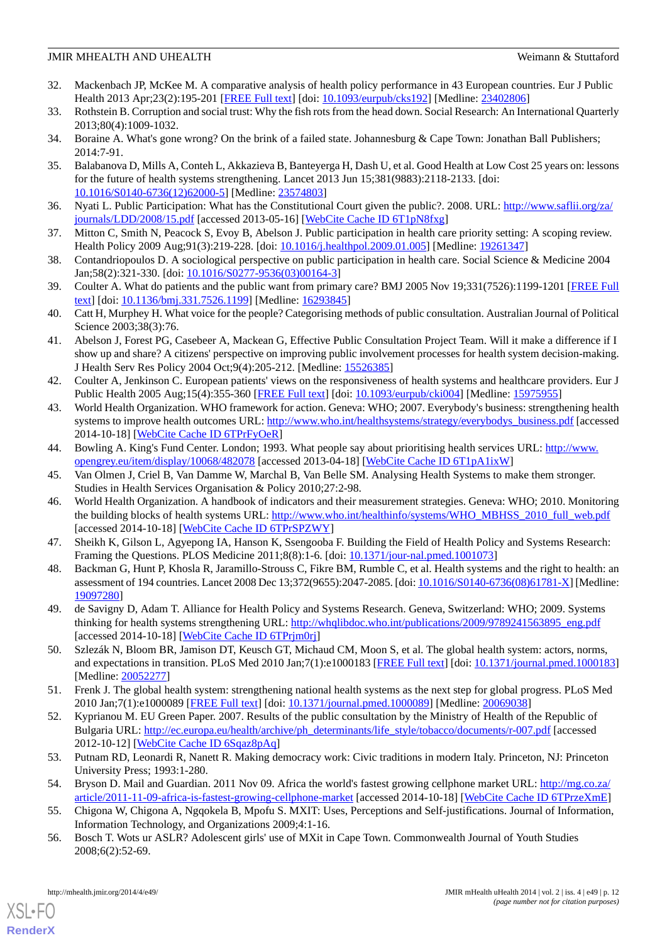- <span id="page-11-0"></span>32. Mackenbach JP, McKee M. A comparative analysis of health policy performance in 43 European countries. Eur J Public Health 2013 Apr;23(2):195-201 [\[FREE Full text](http://eurpub.oxfordjournals.org/cgi/pmidlookup?view=long&pmid=23402806)] [doi: [10.1093/eurpub/cks192\]](http://dx.doi.org/10.1093/eurpub/cks192) [Medline: [23402806\]](http://www.ncbi.nlm.nih.gov/entrez/query.fcgi?cmd=Retrieve&db=PubMed&list_uids=23402806&dopt=Abstract)
- <span id="page-11-2"></span><span id="page-11-1"></span>33. Rothstein B. Corruption and social trust: Why the fish rots from the head down. Social Research: An International Quarterly 2013;80(4):1009-1032.
- <span id="page-11-3"></span>34. Boraine A. What's gone wrong? On the brink of a failed state. Johannesburg & Cape Town: Jonathan Ball Publishers; 2014:7-91.
- 35. Balabanova D, Mills A, Conteh L, Akkazieva B, Banteyerga H, Dash U, et al. Good Health at Low Cost 25 years on: lessons for the future of health systems strengthening. Lancet 2013 Jun 15;381(9883):2118-2133. [doi: [10.1016/S0140-6736\(12\)62000-5\]](http://dx.doi.org/10.1016/S0140-6736(12)62000-5) [Medline: [23574803](http://www.ncbi.nlm.nih.gov/entrez/query.fcgi?cmd=Retrieve&db=PubMed&list_uids=23574803&dopt=Abstract)]
- <span id="page-11-5"></span><span id="page-11-4"></span>36. Nyati L. Public Participation: What has the Constitutional Court given the public?. 2008. URL: [http://www.saflii.org/za/](http://www.saflii.org/za/journals/LDD/2008/15.pdf) [journals/LDD/2008/15.pdf](http://www.saflii.org/za/journals/LDD/2008/15.pdf) [accessed 2013-05-16] [[WebCite Cache ID 6T1pN8fxg](http://www.webcitation.org/

                                                6T1pN8fxg)]
- <span id="page-11-6"></span>37. Mitton C, Smith N, Peacock S, Evoy B, Abelson J. Public participation in health care priority setting: A scoping review. Health Policy 2009 Aug;91(3):219-228. [doi: [10.1016/j.healthpol.2009.01.005](http://dx.doi.org/10.1016/j.healthpol.2009.01.005)] [Medline: [19261347](http://www.ncbi.nlm.nih.gov/entrez/query.fcgi?cmd=Retrieve&db=PubMed&list_uids=19261347&dopt=Abstract)]
- <span id="page-11-24"></span>38. Contandriopoulos D. A sociological perspective on public participation in health care. Social Science & Medicine 2004 Jan;58(2):321-330. [doi: [10.1016/S0277-9536\(03\)00164-3\]](http://dx.doi.org/10.1016/S0277-9536(03)00164-3)
- <span id="page-11-7"></span>39. Coulter A. What do patients and the public want from primary care? BMJ 2005 Nov 19;331(7526):1199-1201 [[FREE Full](http://europepmc.org/abstract/MED/16293845) [text](http://europepmc.org/abstract/MED/16293845)] [doi: [10.1136/bmj.331.7526.1199\]](http://dx.doi.org/10.1136/bmj.331.7526.1199) [Medline: [16293845\]](http://www.ncbi.nlm.nih.gov/entrez/query.fcgi?cmd=Retrieve&db=PubMed&list_uids=16293845&dopt=Abstract)
- <span id="page-11-8"></span>40. Catt H, Murphey H. What voice for the people? Categorising methods of public consultation. Australian Journal of Political Science 2003;38(3):76.
- <span id="page-11-9"></span>41. Abelson J, Forest PG, Casebeer A, Mackean G, Effective Public Consultation Project Team. Will it make a difference if I show up and share? A citizens' perspective on improving public involvement processes for health system decision-making. J Health Serv Res Policy 2004 Oct;9(4):205-212. [Medline: [15526385\]](http://www.ncbi.nlm.nih.gov/entrez/query.fcgi?cmd=Retrieve&db=PubMed&list_uids=15526385&dopt=Abstract)
- <span id="page-11-10"></span>42. Coulter A, Jenkinson C. European patients' views on the responsiveness of health systems and healthcare providers. Eur J Public Health 2005 Aug;15(4):355-360 [[FREE Full text](http://eurpub.oxfordjournals.org/cgi/pmidlookup?view=long&pmid=15975955)] [doi: [10.1093/eurpub/cki004](http://dx.doi.org/10.1093/eurpub/cki004)] [Medline: [15975955](http://www.ncbi.nlm.nih.gov/entrez/query.fcgi?cmd=Retrieve&db=PubMed&list_uids=15975955&dopt=Abstract)]
- <span id="page-11-11"></span>43. World Health Organization. WHO framework for action. Geneva: WHO; 2007. Everybody's business: strengthening health systems to improve health outcomes URL: [http://www.who.int/healthsystems/strategy/everybodys\\_business.pdf](http://www.who.int/healthsystems/strategy/everybodys_business.pdf) [accessed 2014-10-18] [\[WebCite Cache ID 6TPrFyOeR](http://www.webcitation.org/

                                                6TPrFyOeR)]
- <span id="page-11-13"></span><span id="page-11-12"></span>44. Bowling A. King's Fund Center. London; 1993. What people say about prioritising health services URL: [http://www.](http://www.opengrey.eu/item/display/10068/482078) [opengrey.eu/item/display/10068/482078](http://www.opengrey.eu/item/display/10068/482078) [accessed 2013-04-18] [[WebCite Cache ID 6T1pA1ixW](http://www.webcitation.org/

                                                6T1pA1ixW)]
- <span id="page-11-14"></span>45. Van Olmen J, Criel B, Van Damme W, Marchal B, Van Belle SM. Analysing Health Systems to make them stronger. Studies in Health Services Organisation & Policy 2010;27:2-98.
- <span id="page-11-15"></span>46. World Health Organization. A handbook of indicators and their measurement strategies. Geneva: WHO; 2010. Monitoring the building blocks of health systems URL: [http://www.who.int/healthinfo/systems/WHO\\_MBHSS\\_2010\\_full\\_web.pdf](http://www.who.int/healthinfo/systems/WHO_MBHSS_2010_full_web.pdf) [accessed 2014-10-18] [\[WebCite Cache ID 6TPrSPZWY\]](http://www.webcitation.org/

                                                6TPrSPZWY)
- <span id="page-11-16"></span>47. Sheikh K, Gilson L, Agyepong IA, Hanson K, Ssengooba F. Building the Field of Health Policy and Systems Research: Framing the Questions. PLOS Medicine 2011;8(8):1-6. [doi: [10.1371/jour-nal.pmed.1001073\]](http://dx.doi.org/10.1371/jour-nal.pmed.1001073)
- <span id="page-11-17"></span>48. Backman G, Hunt P, Khosla R, Jaramillo-Strouss C, Fikre BM, Rumble C, et al. Health systems and the right to health: an assessment of 194 countries. Lancet 2008 Dec 13;372(9655):2047-2085. [doi: [10.1016/S0140-6736\(08\)61781-X](http://dx.doi.org/10.1016/S0140-6736(08)61781-X)] [Medline: [19097280](http://www.ncbi.nlm.nih.gov/entrez/query.fcgi?cmd=Retrieve&db=PubMed&list_uids=19097280&dopt=Abstract)]
- <span id="page-11-18"></span>49. de Savigny D, Adam T. Alliance for Health Policy and Systems Research. Geneva, Switzerland: WHO; 2009. Systems thinking for health systems strengthening URL: [http://whqlibdoc.who.int/publications/2009/9789241563895\\_eng.pdf](http://whqlibdoc.who.int/publications/2009/9789241563895_eng.pdf) [accessed 2014-10-18] [\[WebCite Cache ID 6TPrjm0rj\]](http://www.webcitation.org/

                                                6TPrjm0rj)
- <span id="page-11-19"></span>50. Szlezák N, Bloom BR, Jamison DT, Keusch GT, Michaud CM, Moon S, et al. The global health system: actors, norms, and expectations in transition. PLoS Med 2010 Jan;7(1):e1000183 [[FREE Full text\]](http://dx.plos.org/10.1371/journal.pmed.1000183) [doi: [10.1371/journal.pmed.1000183](http://dx.doi.org/10.1371/journal.pmed.1000183)] [Medline: [20052277](http://www.ncbi.nlm.nih.gov/entrez/query.fcgi?cmd=Retrieve&db=PubMed&list_uids=20052277&dopt=Abstract)]
- <span id="page-11-20"></span>51. Frenk J. The global health system: strengthening national health systems as the next step for global progress. PLoS Med 2010 Jan;7(1):e1000089 [[FREE Full text](http://dx.plos.org/10.1371/journal.pmed.1000089)] [doi: [10.1371/journal.pmed.1000089](http://dx.doi.org/10.1371/journal.pmed.1000089)] [Medline: [20069038](http://www.ncbi.nlm.nih.gov/entrez/query.fcgi?cmd=Retrieve&db=PubMed&list_uids=20069038&dopt=Abstract)]
- <span id="page-11-22"></span><span id="page-11-21"></span>52. Kyprianou M. EU Green Paper. 2007. Results of the public consultation by the Ministry of Health of the Republic of Bulgaria URL: [http://ec.europa.eu/health/archive/ph\\_determinants/life\\_style/tobacco/documents/r-007.pdf](http://ec.europa.eu/health/archive/ph_determinants/life_style/tobacco/documents/r-007.pdf) [accessed 2012-10-12] [\[WebCite Cache ID 6Sqaz8pAq\]](http://www.webcitation.org/

                                                6Sqaz8pAq)
- <span id="page-11-23"></span>53. Putnam RD, Leonardi R, Nanett R. Making democracy work: Civic traditions in modern Italy. Princeton, NJ: Princeton University Press; 1993:1-280.
- 54. Bryson D. Mail and Guardian. 2011 Nov 09. Africa the world's fastest growing cellphone market URL: [http://mg.co.za/](http://mg.co.za/article/2011-11-09-africa-is-fastest-growing-cellphone-market) [article/2011-11-09-africa-is-fastest-growing-cellphone-market](http://mg.co.za/article/2011-11-09-africa-is-fastest-growing-cellphone-market) [accessed 2014-10-18] [[WebCite Cache ID 6TPrzeXmE](http://www.webcitation.org/

                                                6TPrzeXmE)]
- 55. Chigona W, Chigona A, Ngqokela B, Mpofu S. MXIT: Uses, Perceptions and Self-justifications. Journal of Information, Information Technology, and Organizations 2009;4:1-16.
- 56. Bosch T. Wots ur ASLR? Adolescent girls' use of MXit in Cape Town. Commonwealth Journal of Youth Studies 2008;6(2):52-69.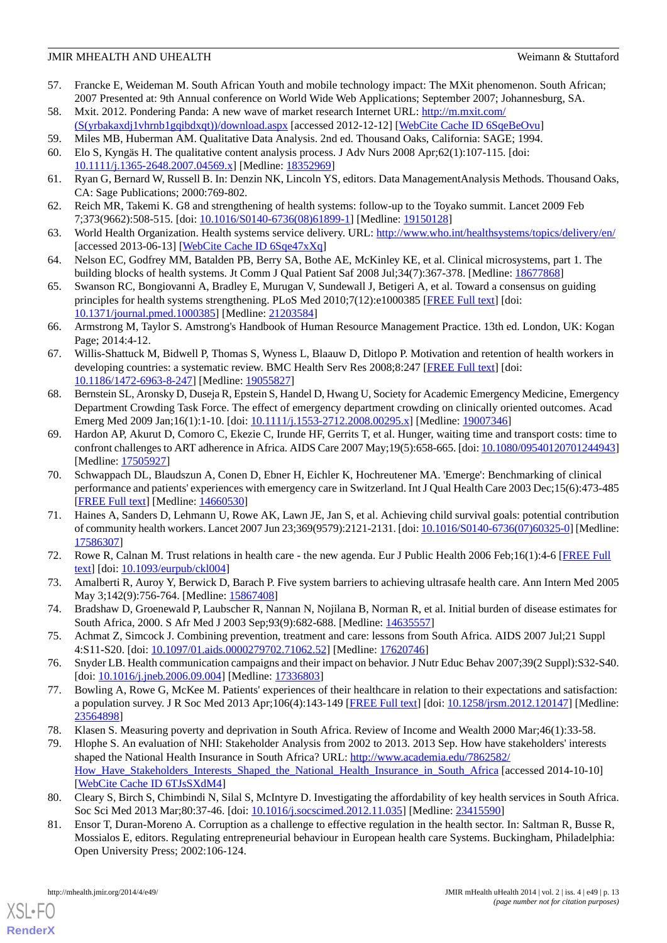- <span id="page-12-1"></span>57. Francke E, Weideman M. South African Youth and mobile technology impact: The MXit phenomenon. South African; 2007 Presented at: 9th Annual conference on World Wide Web Applications; September 2007; Johannesburg, SA.
- <span id="page-12-2"></span><span id="page-12-0"></span>58. Mxit. 2012. Pondering Panda: A new wave of market research Internet URL: [http://m.mxit.com/](http://m.mxit.com/(S(yrbakaxdj1vhrnb1gqibdxqt))/download.aspx) [\(S\(yrbakaxdj1vhrnb1gqibdxqt\)\)/download.aspx](http://m.mxit.com/(S(yrbakaxdj1vhrnb1gqibdxqt))/download.aspx) [accessed 2012-12-12] [\[WebCite Cache ID 6SqeBeOvu](http://www.webcitation.org/

                                                6SqeBeOvu)]
- 59. Miles MB, Huberman AM. Qualitative Data Analysis. 2nd ed. Thousand Oaks, California: SAGE; 1994. 60. Elo S, Kyngäs H. The qualitative content analysis process. J Adv Nurs 2008 Apr;62(1):107-115. [doi: [10.1111/j.1365-2648.2007.04569.x\]](http://dx.doi.org/10.1111/j.1365-2648.2007.04569.x) [Medline: [18352969\]](http://www.ncbi.nlm.nih.gov/entrez/query.fcgi?cmd=Retrieve&db=PubMed&list_uids=18352969&dopt=Abstract)
- <span id="page-12-4"></span><span id="page-12-3"></span>61. Ryan G, Bernard W, Russell B. In: Denzin NK, Lincoln YS, editors. Data ManagementAnalysis Methods. Thousand Oaks, CA: Sage Publications; 2000:769-802.
- <span id="page-12-5"></span>62. Reich MR, Takemi K. G8 and strengthening of health systems: follow-up to the Toyako summit. Lancet 2009 Feb 7;373(9662):508-515. [doi: [10.1016/S0140-6736\(08\)61899-1\]](http://dx.doi.org/10.1016/S0140-6736(08)61899-1) [Medline: [19150128](http://www.ncbi.nlm.nih.gov/entrez/query.fcgi?cmd=Retrieve&db=PubMed&list_uids=19150128&dopt=Abstract)]
- <span id="page-12-6"></span>63. World Health Organization. Health systems service delivery. URL:<http://www.who.int/healthsystems/topics/delivery/en/> [accessed 2013-06-13] [\[WebCite Cache ID 6Sqe47xXq](http://www.webcitation.org/

                                                6Sqe47xXq)]
- <span id="page-12-7"></span>64. Nelson EC, Godfrey MM, Batalden PB, Berry SA, Bothe AE, McKinley KE, et al. Clinical microsystems, part 1. The building blocks of health systems. Jt Comm J Qual Patient Saf 2008 Jul;34(7):367-378. [Medline: [18677868](http://www.ncbi.nlm.nih.gov/entrez/query.fcgi?cmd=Retrieve&db=PubMed&list_uids=18677868&dopt=Abstract)]
- <span id="page-12-8"></span>65. Swanson RC, Bongiovanni A, Bradley E, Murugan V, Sundewall J, Betigeri A, et al. Toward a consensus on guiding principles for health systems strengthening. PLoS Med 2010;7(12):e1000385 [\[FREE Full text\]](http://dx.plos.org/10.1371/journal.pmed.1000385) [doi: [10.1371/journal.pmed.1000385](http://dx.doi.org/10.1371/journal.pmed.1000385)] [Medline: [21203584](http://www.ncbi.nlm.nih.gov/entrez/query.fcgi?cmd=Retrieve&db=PubMed&list_uids=21203584&dopt=Abstract)]
- <span id="page-12-9"></span>66. Armstrong M, Taylor S. Amstrong's Handbook of Human Resource Management Practice. 13th ed. London, UK: Kogan Page; 2014:4-12.
- <span id="page-12-10"></span>67. Willis-Shattuck M, Bidwell P, Thomas S, Wyness L, Blaauw D, Ditlopo P. Motivation and retention of health workers in developing countries: a systematic review. BMC Health Serv Res 2008;8:247 [\[FREE Full text\]](http://www.biomedcentral.com/1472-6963/8/247) [doi: [10.1186/1472-6963-8-247\]](http://dx.doi.org/10.1186/1472-6963-8-247) [Medline: [19055827\]](http://www.ncbi.nlm.nih.gov/entrez/query.fcgi?cmd=Retrieve&db=PubMed&list_uids=19055827&dopt=Abstract)
- <span id="page-12-11"></span>68. Bernstein SL, Aronsky D, Duseja R, Epstein S, Handel D, Hwang U, Society for Academic Emergency Medicine, Emergency Department Crowding Task Force. The effect of emergency department crowding on clinically oriented outcomes. Acad Emerg Med 2009 Jan;16(1):1-10. [doi: [10.1111/j.1553-2712.2008.00295.x\]](http://dx.doi.org/10.1111/j.1553-2712.2008.00295.x) [Medline: [19007346](http://www.ncbi.nlm.nih.gov/entrez/query.fcgi?cmd=Retrieve&db=PubMed&list_uids=19007346&dopt=Abstract)]
- <span id="page-12-12"></span>69. Hardon AP, Akurut D, Comoro C, Ekezie C, Irunde HF, Gerrits T, et al. Hunger, waiting time and transport costs: time to confront challenges to ART adherence in Africa. AIDS Care 2007 May;19(5):658-665. [doi: [10.1080/09540120701244943\]](http://dx.doi.org/10.1080/09540120701244943) [Medline: [17505927](http://www.ncbi.nlm.nih.gov/entrez/query.fcgi?cmd=Retrieve&db=PubMed&list_uids=17505927&dopt=Abstract)]
- <span id="page-12-13"></span>70. Schwappach DL, Blaudszun A, Conen D, Ebner H, Eichler K, Hochreutener MA. 'Emerge': Benchmarking of clinical performance and patients' experiences with emergency care in Switzerland. Int J Qual Health Care 2003 Dec;15(6):473-485 [[FREE Full text](http://intqhc.oxfordjournals.org/cgi/pmidlookup?view=long&pmid=14660530)] [Medline: [14660530](http://www.ncbi.nlm.nih.gov/entrez/query.fcgi?cmd=Retrieve&db=PubMed&list_uids=14660530&dopt=Abstract)]
- <span id="page-12-15"></span><span id="page-12-14"></span>71. Haines A, Sanders D, Lehmann U, Rowe AK, Lawn JE, Jan S, et al. Achieving child survival goals: potential contribution of community health workers. Lancet 2007 Jun 23;369(9579):2121-2131. [doi: [10.1016/S0140-6736\(07\)60325-0\]](http://dx.doi.org/10.1016/S0140-6736(07)60325-0) [Medline: [17586307](http://www.ncbi.nlm.nih.gov/entrez/query.fcgi?cmd=Retrieve&db=PubMed&list_uids=17586307&dopt=Abstract)]
- <span id="page-12-16"></span>72. Rowe R, Calnan M. Trust relations in health care - the new agenda. Eur J Public Health 2006 Feb;16(1):4-6 [\[FREE Full](http://eurpub.oxfordjournals.org/cgi/pmidlookup?view=long&pmid=16446296) [text](http://eurpub.oxfordjournals.org/cgi/pmidlookup?view=long&pmid=16446296)] [doi: [10.1093/eurpub/ckl004\]](http://dx.doi.org/10.1093/eurpub/ckl004)
- <span id="page-12-17"></span>73. Amalberti R, Auroy Y, Berwick D, Barach P. Five system barriers to achieving ultrasafe health care. Ann Intern Med 2005 May 3;142(9):756-764. [Medline: [15867408\]](http://www.ncbi.nlm.nih.gov/entrez/query.fcgi?cmd=Retrieve&db=PubMed&list_uids=15867408&dopt=Abstract)
- <span id="page-12-19"></span><span id="page-12-18"></span>74. Bradshaw D, Groenewald P, Laubscher R, Nannan N, Nojilana B, Norman R, et al. Initial burden of disease estimates for South Africa, 2000. S Afr Med J 2003 Sep;93(9):682-688. [Medline: [14635557](http://www.ncbi.nlm.nih.gov/entrez/query.fcgi?cmd=Retrieve&db=PubMed&list_uids=14635557&dopt=Abstract)]
- 75. Achmat Z, Simcock J. Combining prevention, treatment and care: lessons from South Africa. AIDS 2007 Jul;21 Suppl 4:S11-S20. [doi: [10.1097/01.aids.0000279702.71062.52\]](http://dx.doi.org/10.1097/01.aids.0000279702.71062.52) [Medline: [17620746](http://www.ncbi.nlm.nih.gov/entrez/query.fcgi?cmd=Retrieve&db=PubMed&list_uids=17620746&dopt=Abstract)]
- <span id="page-12-21"></span><span id="page-12-20"></span>76. Snyder LB. Health communication campaigns and their impact on behavior. J Nutr Educ Behav 2007;39(2 Suppl):S32-S40. [doi: [10.1016/j.jneb.2006.09.004\]](http://dx.doi.org/10.1016/j.jneb.2006.09.004) [Medline: [17336803\]](http://www.ncbi.nlm.nih.gov/entrez/query.fcgi?cmd=Retrieve&db=PubMed&list_uids=17336803&dopt=Abstract)
- 77. Bowling A, Rowe G, McKee M. Patients' experiences of their healthcare in relation to their expectations and satisfaction: a population survey. J R Soc Med 2013 Apr;106(4):143-149 [\[FREE Full text](http://europepmc.org/abstract/MED/23564898)] [doi: [10.1258/jrsm.2012.120147\]](http://dx.doi.org/10.1258/jrsm.2012.120147) [Medline: [23564898](http://www.ncbi.nlm.nih.gov/entrez/query.fcgi?cmd=Retrieve&db=PubMed&list_uids=23564898&dopt=Abstract)]
- <span id="page-12-22"></span>78. Klasen S. Measuring poverty and deprivation in South Africa. Review of Income and Wealth 2000 Mar;46(1):33-58.
- <span id="page-12-23"></span>79. Hlophe S. An evaluation of NHI: Stakeholder Analysis from 2002 to 2013. 2013 Sep. How have stakeholders' interests shaped the National Health Insurance in South Africa? URL: [http://www.academia.edu/7862582/](http://www.academia.edu/7862582/How_Have_Stakeholders_Interests_Shaped_the_National_Health_Insurance_in_South_Africa) How Have Stakeholders Interests Shaped the National Health Insurance in South Africa [accessed 2014-10-10] [[WebCite Cache ID 6TJsSXdM4](http://www.webcitation.org/

                                                6TJsSXdM4)]
- 80. Cleary S, Birch S, Chimbindi N, Silal S, McIntyre D. Investigating the affordability of key health services in South Africa. Soc Sci Med 2013 Mar;80:37-46. [doi: [10.1016/j.socscimed.2012.11.035](http://dx.doi.org/10.1016/j.socscimed.2012.11.035)] [Medline: [23415590](http://www.ncbi.nlm.nih.gov/entrez/query.fcgi?cmd=Retrieve&db=PubMed&list_uids=23415590&dopt=Abstract)]
- 81. Ensor T, Duran-Moreno A. Corruption as a challenge to effective regulation in the health sector. In: Saltman R, Busse R, Mossialos E, editors. Regulating entrepreneurial behaviour in European health care Systems. Buckingham, Philadelphia: Open University Press; 2002:106-124.